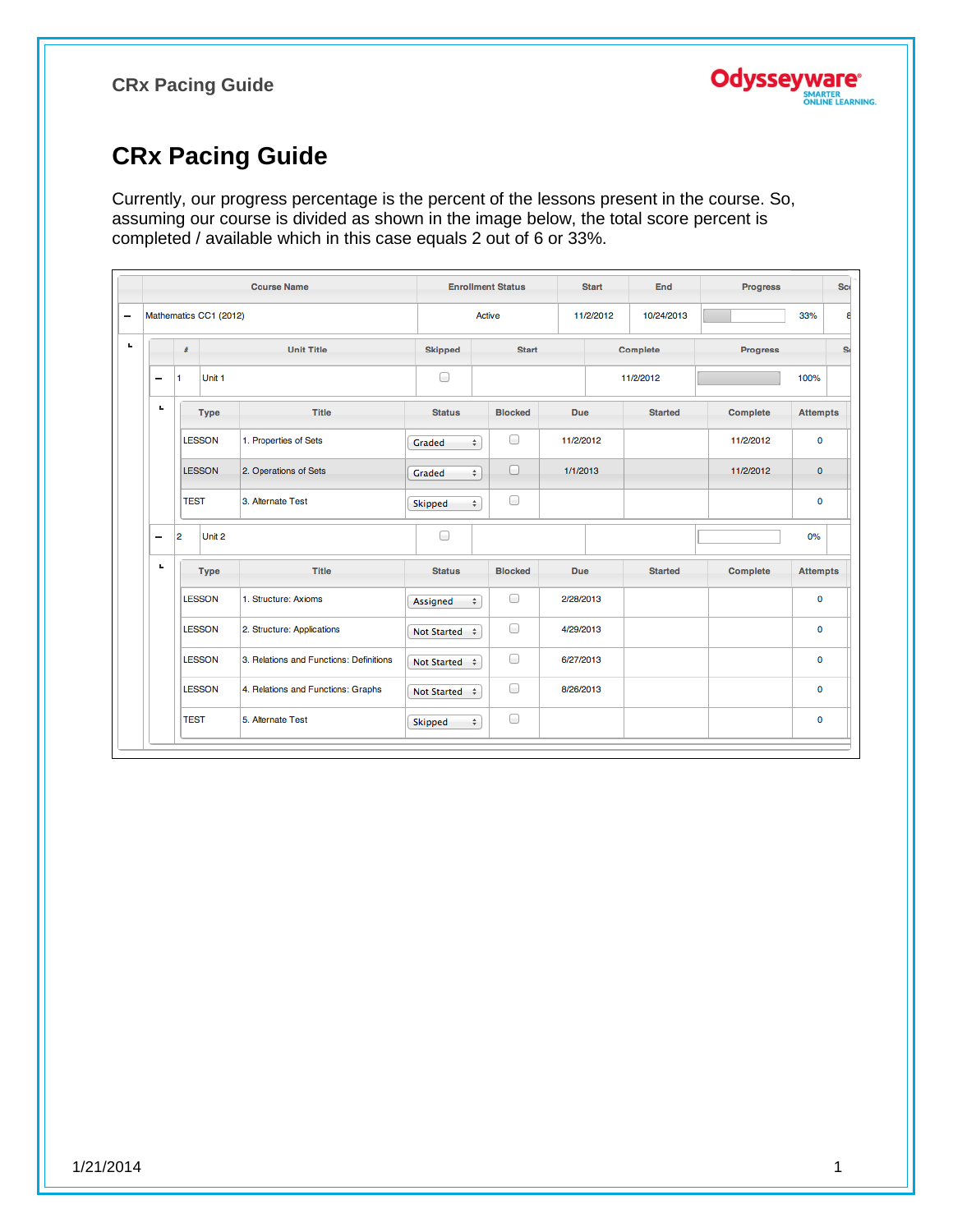

# **CRx Pacing Guide**

Currently, our progress percentage is the percent of the lessons present in the course. So, assuming our course is divided as shown in the image below, the total score percent is completed / available which in this case equals 2 out of 6 or 33%.

|    |                          |               |                        | <b>Course Name</b>                      |                    |        | <b>Enrollment Status</b> | <b>Start</b> | End            | <b>Progress</b> |                 | <b>Scr</b>     |
|----|--------------------------|---------------|------------------------|-----------------------------------------|--------------------|--------|--------------------------|--------------|----------------|-----------------|-----------------|----------------|
| -  |                          |               | Mathematics CC1 (2012) |                                         |                    | Active |                          | 11/2/2012    | 10/24/2013     |                 | 33%             | ε              |
| L, |                          | #             |                        | <b>Unit Title</b>                       | <b>Skipped</b>     |        | <b>Start</b>             |              | Complete       | <b>Progress</b> |                 | S <sub>1</sub> |
|    | -                        | 1             | Unit <sub>1</sub>      |                                         | 0                  |        |                          |              | 11/2/2012      |                 | 100%            |                |
|    | ٠                        |               | <b>Type</b>            | <b>Title</b>                            | <b>Status</b>      |        | <b>Blocked</b>           | Due.         | <b>Started</b> | <b>Complete</b> | <b>Attempts</b> |                |
|    |                          | <b>LESSON</b> |                        | 1. Properties of Sets                   | Graded             | ÷      | 0                        | 11/2/2012    |                | 11/2/2012       | $\mathbf 0$     |                |
|    |                          |               | <b>LESSON</b>          | 2. Operations of Sets                   | Graded             | ÷      | $\Box$                   | 1/1/2013     |                | 11/2/2012       | $\mathbf{0}$    |                |
|    |                          | <b>TEST</b>   |                        | 3. Alternate Test                       | Skipped            | ÷      | 0                        |              |                |                 | $\mathbf 0$     |                |
|    | $\overline{\phantom{0}}$ | 2             | Unit 2                 |                                         | ⊟                  |        |                          |              |                |                 | 0%              |                |
|    | ъ.                       |               | <b>Type</b>            | Title                                   | <b>Status</b>      |        | <b>Blocked</b>           | <b>Due</b>   | <b>Started</b> | Complete        | <b>Attempts</b> |                |
|    |                          |               | <b>LESSON</b>          | 1. Structure: Axioms                    | Assigned           | ÷      | $\Box$                   | 2/28/2013    |                |                 | $\mathbf 0$     |                |
|    |                          |               | <b>LESSON</b>          | 2. Structure: Applications              | Not Started $\div$ |        | 0                        | 4/29/2013    |                |                 | 0               |                |
|    |                          |               | LESSON                 | 3. Relations and Functions: Definitions | Not Started $\div$ |        | ∩                        | 6/27/2013    |                |                 | $\mathbf 0$     |                |
|    |                          |               | <b>LESSON</b>          | 4. Relations and Functions: Graphs      | Not Started $\div$ |        | 0                        | 8/26/2013    |                |                 | 0               |                |
|    |                          | <b>TEST</b>   |                        | 5. Alternate Test                       | Skipped            | ÷      | 0                        |              |                |                 | 0               |                |
|    |                          |               |                        |                                         |                    |        |                          |              |                |                 |                 |                |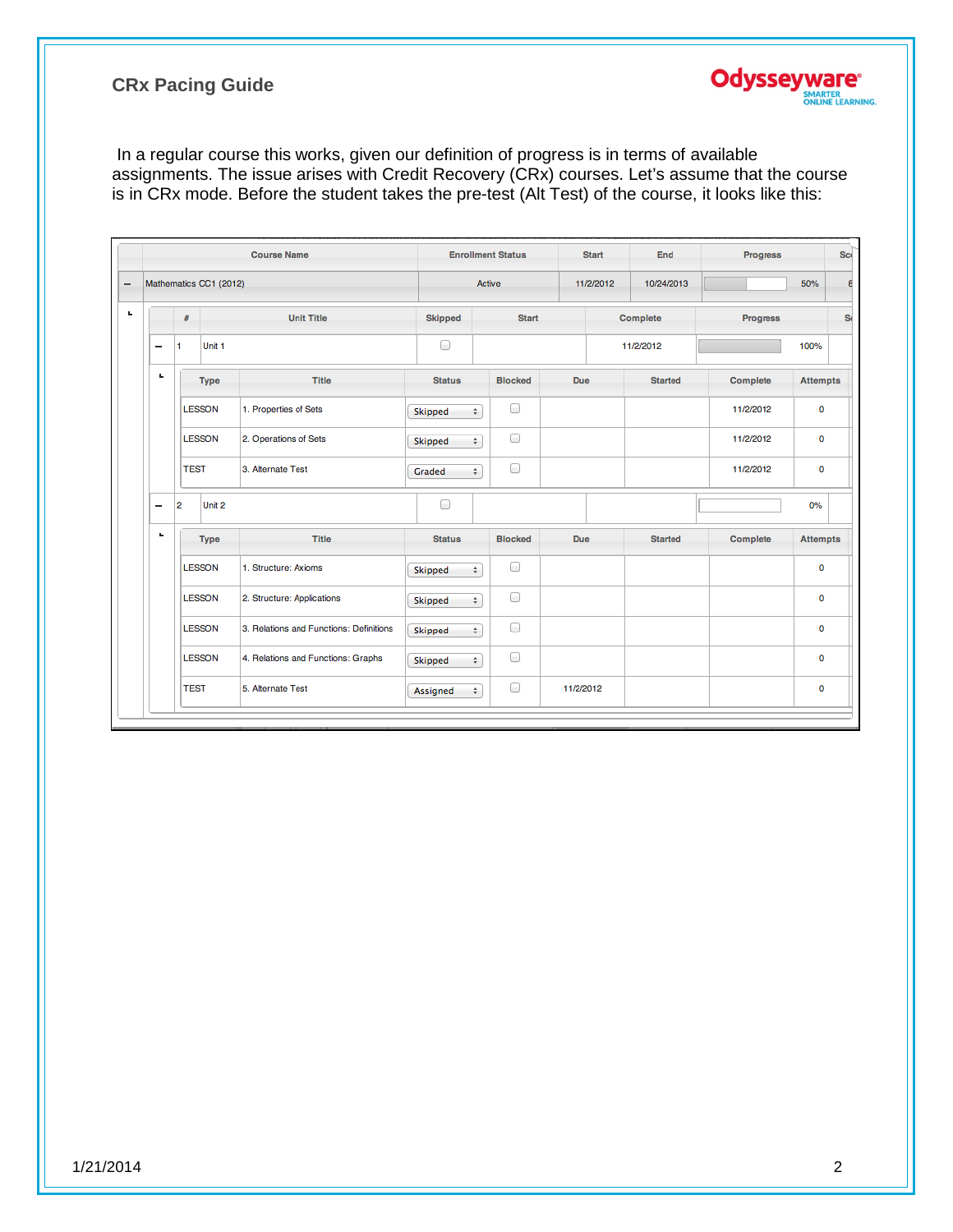

|    |                        | <b>Course Name</b>                      |                | <b>Enrollment Status</b> | <b>Start</b> | <b>End</b>     | <b>Progress</b> | <b>Scr</b>      |
|----|------------------------|-----------------------------------------|----------------|--------------------------|--------------|----------------|-----------------|-----------------|
|    | Mathematics CC1 (2012) |                                         |                | Active                   | 11/2/2012    | 10/24/2013     |                 | 50%             |
|    | #                      | <b>Unit Title</b>                       | <b>Skipped</b> | <b>Start</b>             |              | Complete       | <b>Progress</b> |                 |
| -  | Unit <sub>1</sub><br>1 |                                         | 0              |                          |              | 11/2/2012      |                 | 100%            |
| L. | <b>Type</b>            | Title                                   | <b>Status</b>  | <b>Blocked</b>           | Due.         | <b>Started</b> | Complete        | <b>Attempts</b> |
|    | <b>LESSON</b>          | 1. Properties of Sets                   | Skipped<br>÷   | 0                        |              |                | 11/2/2012       | 0               |
|    | <b>LESSON</b>          | 2. Operations of Sets                   | ÷<br>Skipped   | 0                        |              |                | 11/2/2012       | 0               |
|    | <b>TEST</b>            | 3. Alternate Test                       | Graded<br>÷    | 0                        |              |                | 11/2/2012       | 0               |
| -  | Unit <sub>2</sub><br>2 |                                         | 0              |                          |              |                |                 | 0%              |
| L. | <b>Type</b>            | <b>Title</b>                            | <b>Status</b>  | <b>Blocked</b>           | <b>Due</b>   | <b>Started</b> | Complete        | <b>Attempts</b> |
|    | <b>LESSON</b>          | 1. Structure: Axioms                    | ÷<br>Skipped   | 0                        |              |                |                 | 0               |
|    | <b>LESSON</b>          | 2. Structure: Applications              | ÷<br>Skipped   | 0                        |              |                |                 | 0               |
|    | <b>LESSON</b>          | 3. Relations and Functions: Definitions | Skipped<br>÷   | 0                        |              |                |                 | 0               |
|    | <b>LESSON</b>          | 4. Relations and Functions: Graphs      | Skipped<br>÷   | 0                        |              |                |                 | 0               |
|    | <b>TEST</b>            | 5. Alternate Test                       | Assigned<br>÷  | 0                        | 11/2/2012    |                |                 | 0               |

**Odysseyware®** 

SMARTER<br>ONLINE LEARNING.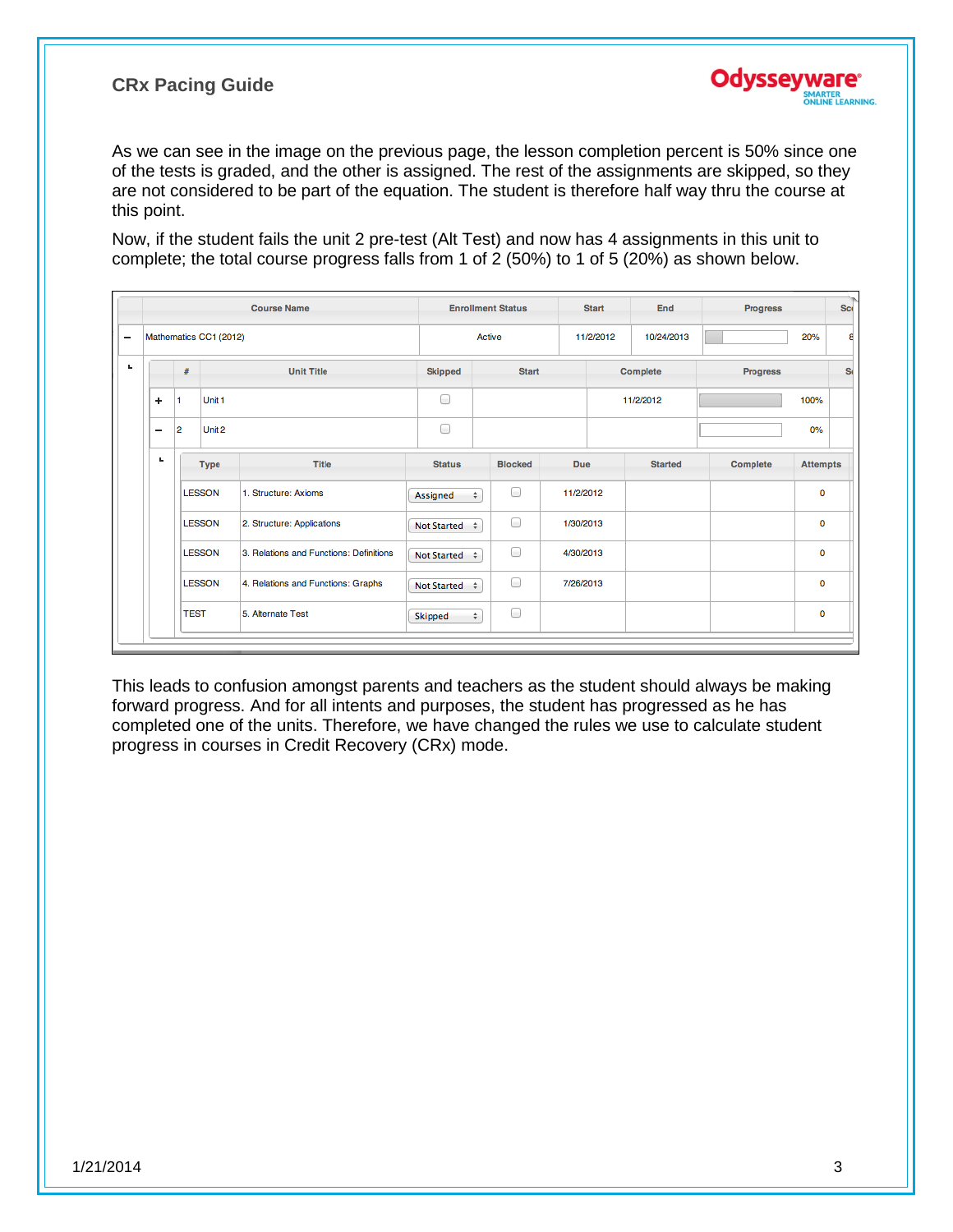

As we can see in the image on the previous page, the lesson completion percent is 50% since one of the tests is graded, and the other is assigned. The rest of the assignments are skipped, so they are not considered to be part of the equation. The student is therefore half way thru the course at this point.

Now, if the student fails the unit 2 pre-test (Alt Test) and now has 4 assignments in this unit to complete; the total course progress falls from 1 of 2 (50%) to 1 of 5 (20%) as shown below.

|                          |                |                        | <b>Course Name</b>                      |                    |           | <b>Enrollment Status</b> |            | <b>Start</b> | End            | <b>Progress</b> |                 | <b>Sci</b> |
|--------------------------|----------------|------------------------|-----------------------------------------|--------------------|-----------|--------------------------|------------|--------------|----------------|-----------------|-----------------|------------|
|                          |                | Mathematics CC1 (2012) |                                         |                    | Active    |                          |            | 11/2/2012    | 10/24/2013     |                 | 20%             |            |
|                          | #              |                        | <b>Unit Title</b>                       | <b>Skipped</b>     |           | <b>Start</b>             |            |              | Complete       | <b>Progress</b> |                 | S(         |
| ÷                        | l 1            | Unit 1                 |                                         | ∩                  |           |                          |            |              | 11/2/2012      |                 | 100%            |            |
| $\overline{\phantom{0}}$ | $\overline{2}$ | Unit 2                 |                                         | ⊟                  |           |                          |            |              |                |                 | 0%              |            |
| ш                        |                | <b>Type</b>            | <b>Title</b>                            | <b>Status</b>      |           | <b>Blocked</b>           | <b>Due</b> |              | <b>Started</b> | Complete        | <b>Attempts</b> |            |
|                          |                | <b>LESSON</b>          | 1. Structure: Axioms                    | Assigned           | ÷         | 0                        | 11/2/2012  |              |                |                 | 0               |            |
|                          |                | <b>LESSON</b>          | 2. Structure: Applications              | Not Started $\div$ |           | 0                        | 1/30/2013  |              |                |                 | 0               |            |
|                          |                | <b>LESSON</b>          | 3. Relations and Functions: Definitions | Not Started $\div$ |           | 0                        | 4/30/2013  |              |                |                 | 0               |            |
|                          |                | <b>LESSON</b>          | 4. Relations and Functions: Graphs      | Not Started $\div$ |           | 0                        | 7/26/2013  |              |                |                 | $\mathbf 0$     |            |
|                          | <b>TEST</b>    |                        | 5. Alternate Test                       | Skipped            | $\hat{z}$ | 0                        |            |              |                |                 | 0               |            |

This leads to confusion amongst parents and teachers as the student should always be making forward progress. And for all intents and purposes, the student has progressed as he has completed one of the units. Therefore, we have changed the rules we use to calculate student progress in courses in Credit Recovery (CRx) mode.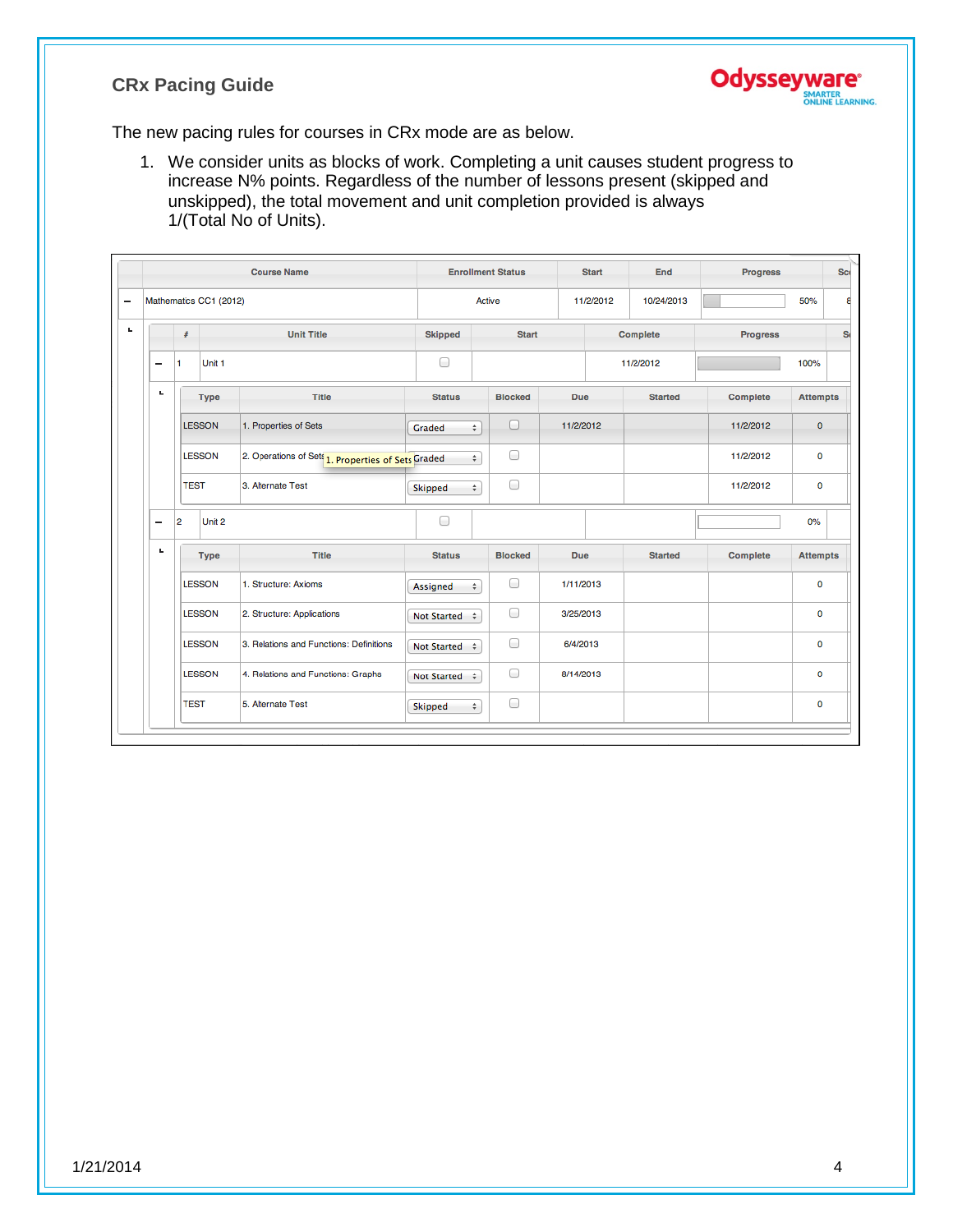

The new pacing rules for courses in CRx mode are as below.

1. We consider units as blocks of work. Completing a unit causes student progress to increase N% points. Regardless of the number of lessons present (skipped and unskipped), the total movement and unit completion provided is always 1/(Total No of Units).

|                          |    |                                     | <b>Course Name</b>                                 |                    | <b>Enrollment Status</b> |            | <b>Start</b> | End            | <b>Progress</b> |                 | <b>Sci</b> |
|--------------------------|----|-------------------------------------|----------------------------------------------------|--------------------|--------------------------|------------|--------------|----------------|-----------------|-----------------|------------|
| $\overline{\phantom{0}}$ |    | Mathematics CC1 (2012)              |                                                    |                    | Active                   |            | 11/2/2012    | 10/24/2013     |                 | 50%             | 8          |
| L.                       |    | #                                   | <b>Unit Title</b>                                  | <b>Skipped</b>     | <b>Start</b>             |            |              | Complete       | <b>Progress</b> |                 | S(         |
|                          | -  | Unit <sub>1</sub><br>1              |                                                    | 0                  |                          |            |              | 11/2/2012      |                 | 100%            |            |
|                          | ь  | <b>Type</b>                         | <b>Title</b>                                       | <b>Status</b>      | <b>Blocked</b>           | Due.       |              | <b>Started</b> | Complete        | <b>Attempts</b> |            |
|                          |    | <b>LESSON</b>                       | 1. Properties of Sets                              | Graded             | $\Box$<br>÷              | 11/2/2012  |              |                | 11/2/2012       | $\mathbf 0$     |            |
|                          |    | <b>LESSON</b>                       | 2. Operations of Sets 1. Properties of Sets Graded |                    | 0<br>÷                   |            |              |                | 11/2/2012       | 0               |            |
|                          |    | <b>TEST</b>                         | 3. Alternate Test                                  | Skipped            | 0<br>$\hat{\mathbf{v}}$  |            |              |                | 11/2/2012       | $\mathbf 0$     |            |
|                          | -  | $\overline{2}$<br>Unit <sub>2</sub> |                                                    | 0                  |                          |            |              |                |                 | 0%              |            |
|                          | L. | <b>Type</b>                         | <b>Title</b>                                       | <b>Status</b>      | <b>Blocked</b>           | <b>Due</b> |              | <b>Started</b> | <b>Complete</b> | <b>Attempts</b> |            |
|                          |    | <b>LESSON</b>                       | 1. Structure: Axioms                               | Assigned           | 0<br>÷                   | 1/11/2013  |              |                |                 | 0               |            |
|                          |    | <b>LESSON</b>                       | 2. Structure: Applications                         | Not Started $\div$ | $\Box$                   | 3/25/2013  |              |                |                 | $\mathbf 0$     |            |
|                          |    | <b>LESSON</b>                       | 3. Relations and Functions: Definitions            | Not Started $\div$ | 0                        | 6/4/2013   |              |                |                 | 0               |            |
|                          |    | <b>LESSON</b>                       | 4. Relations and Functions: Graphs                 | Not Started $\div$ | 0                        | 8/14/2013  |              |                |                 | $\mathbf 0$     |            |
|                          |    | <b>TEST</b>                         | 5. Alternate Test                                  | Skipped            | 0<br>÷                   |            |              |                |                 | 0               |            |
|                          |    |                                     |                                                    |                    |                          |            |              |                |                 |                 |            |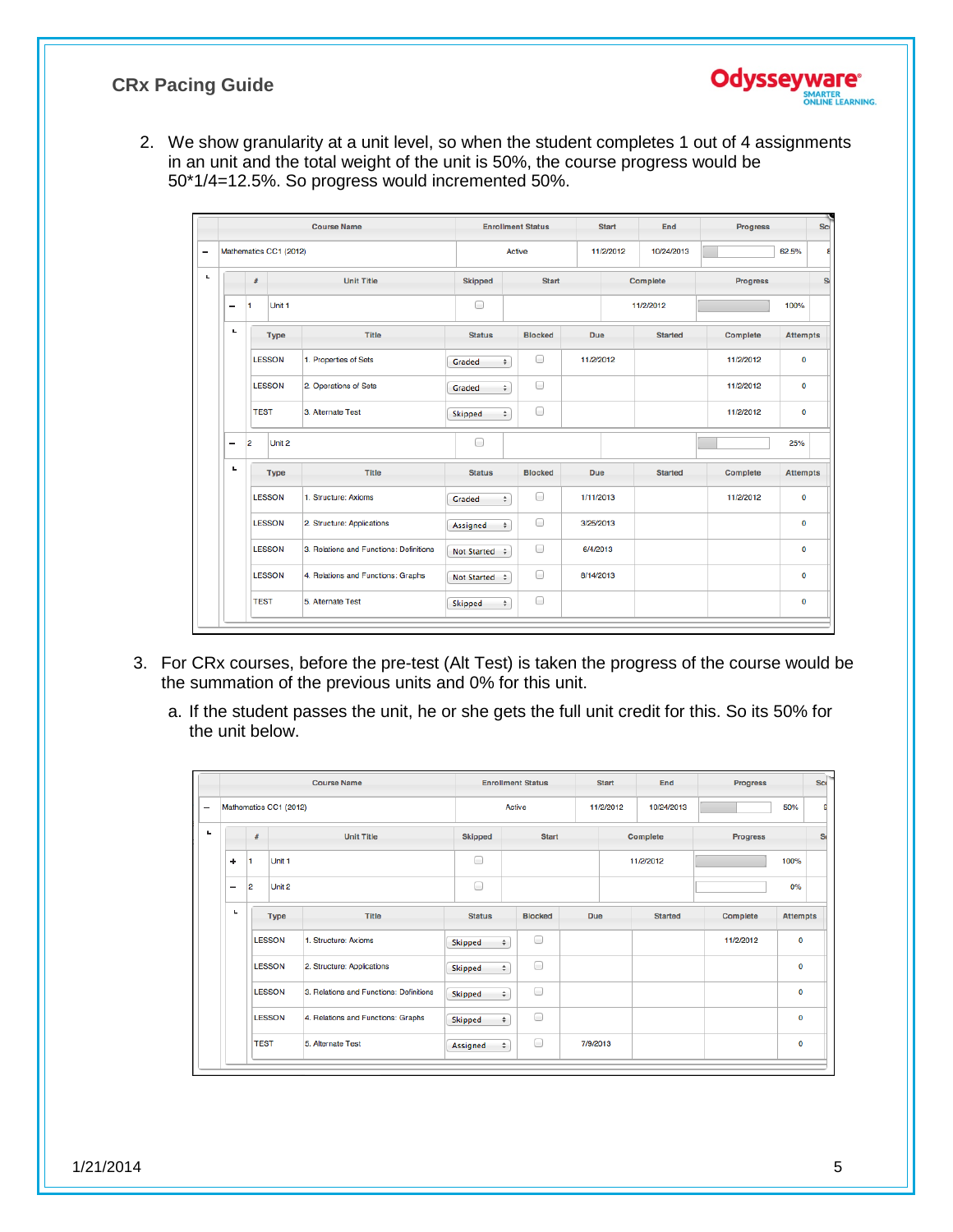2. We show granularity at a unit level, so when the student completes 1 out of 4 assignments in an unit and the total weight of the unit is 50%, the course progress would be 50\*1/4=12.5%. So progress would incremented 50%.

|   |                          |                |                        | <b>Course Name</b>                      |                    |        | <b>Enrollment Status</b> | <b>Start</b> | End            | <b>Progress</b> | <b>Scr</b>      |
|---|--------------------------|----------------|------------------------|-----------------------------------------|--------------------|--------|--------------------------|--------------|----------------|-----------------|-----------------|
| - |                          |                | Mathematics CC1 (2012) |                                         |                    |        | Active                   | 11/2/2012    | 10/24/2013     |                 | 62.5%<br>ε      |
| ч |                          | #              |                        | <b>Unit Title</b>                       | <b>Skipped</b>     |        | <b>Start</b>             |              | Complete       | <b>Progress</b> | S <sub>t</sub>  |
|   | $\overline{\phantom{0}}$ | и              | Unit <sub>1</sub>      |                                         | ∩                  |        |                          |              | 11/2/2012      |                 | 100%            |
|   | ч                        |                | <b>Type</b>            | <b>Title</b>                            | <b>Status</b>      |        | <b>Blocked</b>           | Due          | <b>Started</b> | <b>Complete</b> | <b>Attempts</b> |
|   |                          |                | <b>LESSON</b>          | 1. Properties of Sets                   | Graded             | ÷      | 0                        | 11/2/2012    |                | 11/2/2012       | 0               |
|   |                          |                | <b>LESSON</b>          | 2. Operations of Sets                   | Graded             | $\div$ | 0                        |              |                | 11/2/2012       | $\mathbf 0$     |
|   |                          | <b>TEST</b>    |                        | 3. Alternate Test                       | Skipped            | ÷      | 0                        |              |                | 11/2/2012       | $\mathbf 0$     |
|   | $\overline{\phantom{0}}$ | $\overline{2}$ | Unit <sub>2</sub>      |                                         | ∩                  |        |                          |              |                |                 | 25%             |
|   | ч                        |                | <b>Type</b>            | <b>Title</b>                            | <b>Status</b>      |        | <b>Blocked</b>           | <b>Due</b>   | <b>Started</b> | Complete        | <b>Attempts</b> |
|   |                          |                | <b>LESSON</b>          | 1. Structure: Axioms                    | Graded             | ÷      | $\Box$                   | 1/11/2013    |                | 11/2/2012       | $\mathbf 0$     |
|   |                          |                | <b>LESSON</b>          | 2. Structure: Applications              | Assigned           | $\div$ | ∩                        | 3/25/2013    |                |                 | $\mathbf 0$     |
|   |                          |                | <b>LESSON</b>          | 3. Relations and Functions: Definitions | Not Started $\div$ |        | ⊟                        | 6/4/2013     |                |                 | 0               |
|   |                          |                | <b>LESSON</b>          | 4. Relations and Functions: Graphs      | Not Started $\div$ |        | $\Box$                   | 8/14/2013    |                |                 | $\mathbf 0$     |
|   |                          | <b>TEST</b>    |                        | 5. Alternate Test                       | Skipped            | ÷      | 0                        |              |                |                 | 0               |
|   |                          |                |                        |                                         |                    |        |                          |              |                |                 |                 |

- 3. For CRx courses, before the pre-test (Alt Test) is taken the progress of the course would be the summation of the previous units and 0% for this unit.
	- a. If the student passes the unit, he or she gets the full unit credit for this. So its 50% for the unit below.

|   |    |                |                        | <b>Course Name</b>                      |                | <b>Enrollment Status</b> |          | <b>Start</b> | <b>End</b>     | <b>Progress</b> | Sci             |
|---|----|----------------|------------------------|-----------------------------------------|----------------|--------------------------|----------|--------------|----------------|-----------------|-----------------|
| - |    |                | Mathematics CC1 (2012) |                                         |                | Active                   |          | 11/2/2012    | 10/24/2013     |                 | 50%<br>g        |
| ц |    | #              |                        | <b>Unit Title</b>                       | <b>Skipped</b> | <b>Start</b>             |          |              | Complete       | <b>Progress</b> | S <sub>t</sub>  |
|   | ÷  | 1              | Unit <sub>1</sub>      |                                         | ∩              |                          |          |              | 11/2/2012      |                 | 100%            |
|   | -  | $\overline{2}$ | Unit 2                 |                                         | ∩              |                          |          |              |                |                 | 0%              |
|   | t. |                | <b>Type</b>            | Title                                   | <b>Status</b>  | <b>Blocked</b>           | Due      |              | <b>Started</b> | Complete        | <b>Attempts</b> |
|   |    |                | <b>LESSON</b>          | 1. Structure: Axioms                    | Skipped        | 0<br>÷                   |          |              |                | 11/2/2012       | 0               |
|   |    |                | <b>LESSON</b>          | 2. Structure: Applications              | Skipped        | 0<br>÷                   |          |              |                |                 | 0               |
|   |    |                | <b>LESSON</b>          | 3. Relations and Functions: Definitions | Skipped        | 0<br>÷                   |          |              |                |                 | 0               |
|   |    |                | <b>LESSON</b>          | 4. Relations and Functions: Graphs      | Skipped        | 0<br>$\div$              |          |              |                |                 | 0               |
|   |    |                | <b>TEST</b>            | 5. Alternate Test                       | Assigned       | 0<br>$\div$              | 7/9/2013 |              |                |                 | 0               |
|   |    |                |                        |                                         |                |                          |          |              |                |                 |                 |

**Odysseywar** 

SMARTER<br>ONLINE LEARNING.